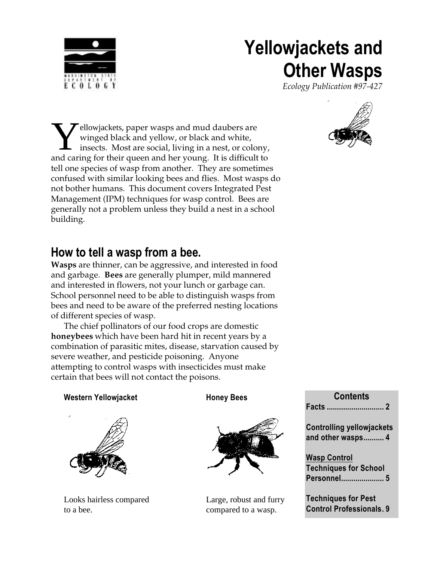

# **Yellowjackets and Other Wasps**

*Ecology Publication #97-427*

ellowjackets, paper wasps and mud daubers are winged black and yellow, or black and white, insects. Most are social, living in a nest, or colony, and caring for their queen and her young. It is difficult to tell one species of wasp from another. They are sometimes confused with similar looking bees and flies. Most wasps do not bother humans. This document covers Integrated Pest Management (IPM) techniques for wasp control. Bees are generally not a problem unless they build a nest in a school building. Y

## **How to tell a wasp from a bee.**

**Wasps** are thinner, can be aggressive, and interested in food and garbage. **Bees** are generally plumper, mild mannered and interested in flowers, not your lunch or garbage can. School personnel need to be able to distinguish wasps from bees and need to be aware of the preferred nesting locations of different species of wasp.

The chief pollinators of our food crops are domestic **honeybees** which have been hard hit in recent years by a combination of parasitic mites, disease, starvation caused by severe weather, and pesticide poisoning. Anyone attempting to control wasps with insecticides must make certain that bees will not contact the poisons.

#### **Western Yellowjacket Honey Bees**



Looks hairless compared Large, robust and furry to a bee. compared to a wasp.



| Facts | <b>Contents</b> | 2 |
|-------|-----------------|---|

**Controlling yellowjackets and other wasps.......... 4**

**Wasp Control Techniques for School Personnel..................... 5**

**Techniques for Pest Control Professionals. 9**

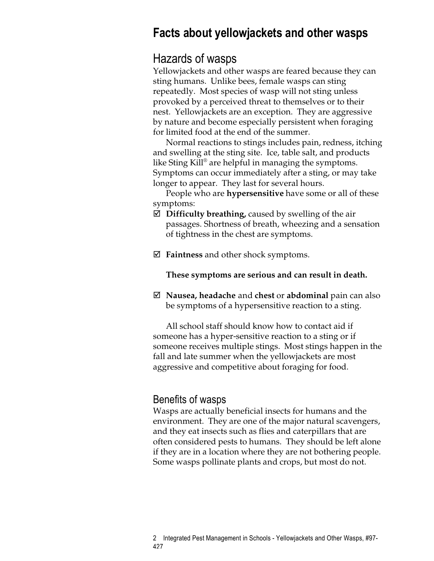# **Facts about yellowjackets and other wasps**

## Hazards of wasps

Yellowjackets and other wasps are feared because they can sting humans. Unlike bees, female wasps can sting repeatedly. Most species of wasp will not sting unless provoked by a perceived threat to themselves or to their nest. Yellowjackets are an exception. They are aggressive by nature and become especially persistent when foraging for limited food at the end of the summer.

Normal reactions to stings includes pain, redness, itching and swelling at the sting site. Ice, table salt, and products like Sting Kill® are helpful in managing the symptoms. Symptoms can occur immediately after a sting, or may take longer to appear. They last for several hours.

People who are **hypersensitive** have some or all of these symptoms:

- ˛ **Difficulty breathing,** caused by swelling of the air passages. Shortness of breath, wheezing and a sensation of tightness in the chest are symptoms.
- ˛ **Faintness** and other shock symptoms.

**These symptoms are serious and can result in death.**

˛ **Nausea, headache** and **chest** or **abdominal** pain can also be symptoms of a hypersensitive reaction to a sting.

All school staff should know how to contact aid if someone has a hyper-sensitive reaction to a sting or if someone receives multiple stings. Most stings happen in the fall and late summer when the yellowjackets are most aggressive and competitive about foraging for food.

## Benefits of wasps

Wasps are actually beneficial insects for humans and the environment. They are one of the major natural scavengers, and they eat insects such as flies and caterpillars that are often considered pests to humans. They should be left alone if they are in a location where they are not bothering people. Some wasps pollinate plants and crops, but most do not.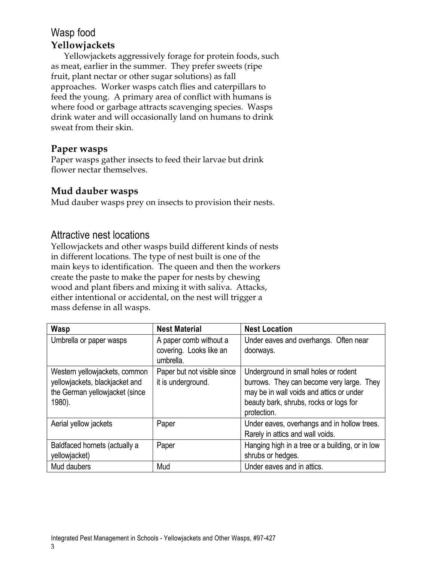## Wasp food **Yellowjackets**

Yellowjackets aggressively forage for protein foods, such as meat, earlier in the summer. They prefer sweets (ripe fruit, plant nectar or other sugar solutions) as fall approaches. Worker wasps catch flies and caterpillars to feed the young. A primary area of conflict with humans is where food or garbage attracts scavenging species. Wasps drink water and will occasionally land on humans to drink sweat from their skin.

### **Paper wasps**

Paper wasps gather insects to feed their larvae but drink flower nectar themselves.

#### **Mud dauber wasps**

Mud dauber wasps prey on insects to provision their nests.

### Attractive nest locations

Yellowjackets and other wasps build different kinds of nests in different locations. The type of nest built is one of the main keys to identification. The queen and then the workers create the paste to make the paper for nests by chewing wood and plant fibers and mixing it with saliva. Attacks, either intentional or accidental, on the nest will trigger a mass defense in all wasps.

| Wasp                                                                                                        | <b>Nest Material</b>                                           | <b>Nest Location</b>                                                                                                                                                                   |
|-------------------------------------------------------------------------------------------------------------|----------------------------------------------------------------|----------------------------------------------------------------------------------------------------------------------------------------------------------------------------------------|
| Umbrella or paper wasps                                                                                     | A paper comb without a<br>covering. Looks like an<br>umbrella. | Under eaves and overhangs. Often near<br>doorways.                                                                                                                                     |
| Western yellowjackets, common<br>yellowjackets, blackjacket and<br>the German yellowjacket (since<br>1980). | Paper but not visible since<br>it is underground.              | Underground in small holes or rodent<br>burrows. They can become very large. They<br>may be in wall voids and attics or under<br>beauty bark, shrubs, rocks or logs for<br>protection. |
| Aerial yellow jackets                                                                                       | Paper                                                          | Under eaves, overhangs and in hollow trees.<br>Rarely in attics and wall voids.                                                                                                        |
| Baldfaced hornets (actually a<br>yellowjacket)                                                              | Paper                                                          | Hanging high in a tree or a building, or in low<br>shrubs or hedges.                                                                                                                   |
| Mud daubers                                                                                                 | Mud                                                            | Under eaves and in attics.                                                                                                                                                             |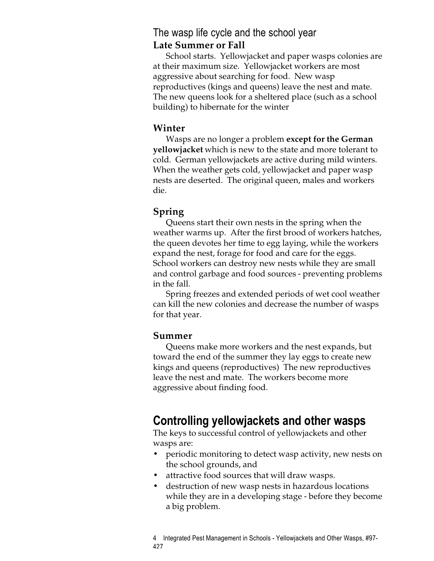## The wasp life cycle and the school year **Late Summer or Fall**

School starts. Yellowjacket and paper wasps colonies are at their maximum size. Yellowjacket workers are most aggressive about searching for food. New wasp reproductives (kings and queens) leave the nest and mate. The new queens look for a sheltered place (such as a school building) to hibernate for the winter

### **Winter**

Wasps are no longer a problem **except for the German yellowjacket** which is new to the state and more tolerant to cold. German yellowjackets are active during mild winters. When the weather gets cold, yellowjacket and paper wasp nests are deserted. The original queen, males and workers die.

## **Spring**

Queens start their own nests in the spring when the weather warms up. After the first brood of workers hatches, the queen devotes her time to egg laying, while the workers expand the nest, forage for food and care for the eggs. School workers can destroy new nests while they are small and control garbage and food sources - preventing problems in the fall.

Spring freezes and extended periods of wet cool weather can kill the new colonies and decrease the number of wasps for that year.

## **Summer**

Queens make more workers and the nest expands, but toward the end of the summer they lay eggs to create new kings and queens (reproductives) The new reproductives leave the nest and mate. The workers become more aggressive about finding food.

# **Controlling yellowjackets and other wasps**

The keys to successful control of yellowjackets and other wasps are:

- periodic monitoring to detect wasp activity, new nests on the school grounds, and
- attractive food sources that will draw wasps.
- destruction of new wasp nests in hazardous locations while they are in a developing stage - before they become a big problem.

4 Integrated Pest Management in Schools - Yellowjackets and Other Wasps, #97- 427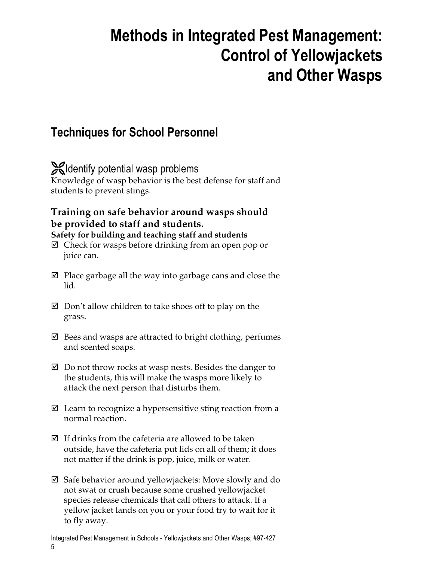# **Methods in Integrated Pest Management: Control of Yellowjackets and Other Wasps**

# **Techniques for School Personnel**

 $\mathcal{L}$ Identify potential wasp problems

Knowledge of wasp behavior is the best defense for staff and students to prevent stings.

## **Training on safe behavior around wasps should be provided to staff and students.**

#### **Safety for building and teaching staff and students**

- $\boxtimes$  Check for wasps before drinking from an open pop or juice can.
- $\boxtimes$  Place garbage all the way into garbage cans and close the lid.
- $\boxtimes$  Don't allow children to take shoes off to play on the grass.
- $\boxtimes$  Bees and wasps are attracted to bright clothing, perfumes and scented soaps.
- $\boxtimes$  Do not throw rocks at wasp nests. Besides the danger to the students, this will make the wasps more likely to attack the next person that disturbs them.
- $\boxtimes$  Learn to recognize a hypersensitive sting reaction from a normal reaction.
- $\boxtimes$  If drinks from the cafeteria are allowed to be taken outside, have the cafeteria put lids on all of them; it does not matter if the drink is pop, juice, milk or water.
- ˛ Safe behavior around yellowjackets: Move slowly and do not swat or crush because some crushed yellowjacket species release chemicals that call others to attack. If a yellow jacket lands on you or your food try to wait for it to fly away.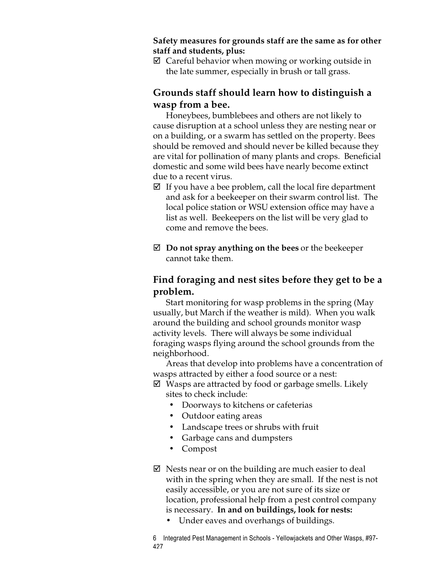#### **Safety measures for grounds staff are the same as for other staff and students, plus:**

 $\boxtimes$  Careful behavior when mowing or working outside in the late summer, especially in brush or tall grass.

## **Grounds staff should learn how to distinguish a wasp from a bee.**

Honeybees, bumblebees and others are not likely to cause disruption at a school unless they are nesting near or on a building, or a swarm has settled on the property. Bees should be removed and should never be killed because they are vital for pollination of many plants and crops. Beneficial domestic and some wild bees have nearly become extinct due to a recent virus.

- $\boxtimes$  If you have a bee problem, call the local fire department and ask for a beekeeper on their swarm control list. The local police station or WSU extension office may have a list as well. Beekeepers on the list will be very glad to come and remove the bees.
- ˛ **Do not spray anything on the bees** or the beekeeper cannot take them.

## **Find foraging and nest sites before they get to be a problem.**

Start monitoring for wasp problems in the spring (May usually, but March if the weather is mild). When you walk around the building and school grounds monitor wasp activity levels. There will always be some individual foraging wasps flying around the school grounds from the neighborhood.

Areas that develop into problems have a concentration of wasps attracted by either a food source or a nest:

- $\boxtimes$  Wasps are attracted by food or garbage smells. Likely sites to check include:
	- Doorways to kitchens or cafeterias
	- Outdoor eating areas
	- Landscape trees or shrubs with fruit
	- Garbage cans and dumpsters
	- Compost
- $\boxtimes$  Nests near or on the building are much easier to deal with in the spring when they are small. If the nest is not easily accessible, or you are not sure of its size or location, professional help from a pest control company is necessary. **In and on buildings, look for nests:**
	- Under eaves and overhangs of buildings.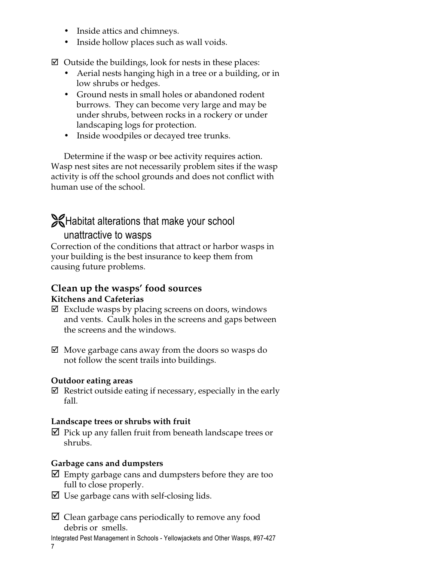- Inside attics and chimneys.
- Inside hollow places such as wall voids.

 $\boxtimes$  Outside the buildings, look for nests in these places:

- Aerial nests hanging high in a tree or a building, or in low shrubs or hedges.
- Ground nests in small holes or abandoned rodent burrows. They can become very large and may be under shrubs, between rocks in a rockery or under landscaping logs for protection.
- Inside woodpiles or decayed tree trunks.

Determine if the wasp or bee activity requires action. Wasp nest sites are not necessarily problem sites if the wasp activity is off the school grounds and does not conflict with human use of the school.

# **X**Habitat alterations that make your school unattractive to wasps

Correction of the conditions that attract or harbor wasps in your building is the best insurance to keep them from causing future problems.

### **Clean up the wasps' food sources Kitchens and Cafeterias**

- $\boxtimes$  Exclude wasps by placing screens on doors, windows and vents. Caulk holes in the screens and gaps between the screens and the windows.
- $\boxtimes$  Move garbage cans away from the doors so wasps do not follow the scent trails into buildings.

#### **Outdoor eating areas**

 $\boxtimes$  Restrict outside eating if necessary, especially in the early fall.

#### **Landscape trees or shrubs with fruit**

 $\boxtimes$  Pick up any fallen fruit from beneath landscape trees or shrubs.

#### **Garbage cans and dumpsters**

- $\boxtimes$  Empty garbage cans and dumpsters before they are too full to close properly.
- $\boxtimes$  Use garbage cans with self-closing lids.
- $\boxtimes$  Clean garbage cans periodically to remove any food debris or smells.

Integrated Pest Management in Schools - Yellowjackets and Other Wasps, #97-427 7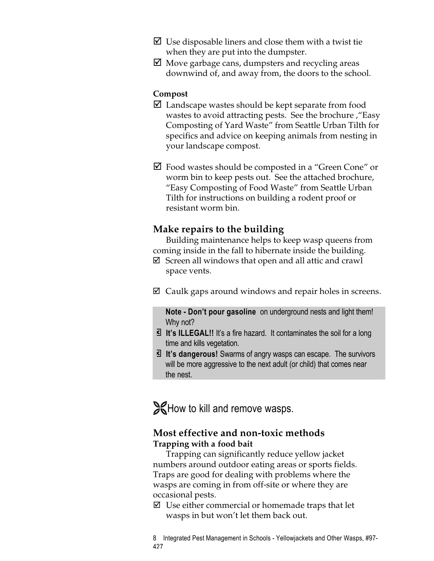- $\boxtimes$  Use disposable liners and close them with a twist tie when they are put into the dumpster.
- $\boxtimes$  Move garbage cans, dumpsters and recycling areas downwind of, and away from, the doors to the school.

#### **Compost**

- $\boxtimes$  Landscape wastes should be kept separate from food wastes to avoid attracting pests. See the brochure ,"Easy Composting of Yard Waste" from Seattle Urban Tilth for specifics and advice on keeping animals from nesting in your landscape compost.
- ˛ Food wastes should be composted in a "Green Cone" or worm bin to keep pests out. See the attached brochure, "Easy Composting of Food Waste" from Seattle Urban Tilth for instructions on building a rodent proof or resistant worm bin.

#### **Make repairs to the building**

Building maintenance helps to keep wasp queens from coming inside in the fall to hibernate inside the building.

- $\boxtimes$  Screen all windows that open and all attic and crawl space vents.
- $\boxtimes$  Caulk gaps around windows and repair holes in screens.

**Note - Don't pour gasoline** on underground nests and light them! Why not?

- ˝ **It's ILLEGAL!!** It's a fire hazard. It contaminates the soil for a long time and kills vegetation.
- ˝ **It's dangerous!** Swarms of angry wasps can escape. The survivors will be more aggressive to the next adult (or child) that comes near the nest.

 $\mathcal{H}$ How to kill and remove wasps.

#### **Most effective and non-toxic methods Trapping with a food bait**

Trapping can significantly reduce yellow jacket numbers around outdoor eating areas or sports fields. Traps are good for dealing with problems where the wasps are coming in from off-site or where they are occasional pests.

 $\boxtimes$  Use either commercial or homemade traps that let wasps in but won't let them back out.

8 Integrated Pest Management in Schools - Yellowjackets and Other Wasps, #97- 427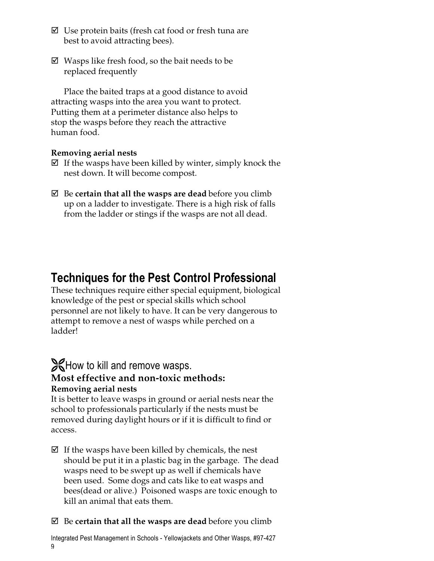- $\boxtimes$  Use protein baits (fresh cat food or fresh tuna are best to avoid attracting bees).
- $\boxtimes$  Wasps like fresh food, so the bait needs to be replaced frequently

Place the baited traps at a good distance to avoid attracting wasps into the area you want to protect. Putting them at a perimeter distance also helps to stop the wasps before they reach the attractive human food.

#### **Removing aerial nests**

- $\boxtimes$  If the wasps have been killed by winter, simply knock the nest down. It will become compost.
- ˛ Be **certain that all the wasps are dead** before you climb up on a ladder to investigate. There is a high risk of falls from the ladder or stings if the wasps are not all dead.

# **Techniques for the Pest Control Professional**

These techniques require either special equipment, biological knowledge of the pest or special skills which school personnel are not likely to have. It can be very dangerous to attempt to remove a nest of wasps while perched on a ladder!

## $\mathcal{H}$ How to kill and remove wasps. **Most effective and non-toxic methods: Removing aerial nests**

It is better to leave wasps in ground or aerial nests near the school to professionals particularly if the nests must be removed during daylight hours or if it is difficult to find or access.

 $\boxtimes$  If the wasps have been killed by chemicals, the nest should be put it in a plastic bag in the garbage. The dead wasps need to be swept up as well if chemicals have been used. Some dogs and cats like to eat wasps and bees(dead or alive.) Poisoned wasps are toxic enough to kill an animal that eats them.

#### ˛ Be **certain that all the wasps are dead** before you climb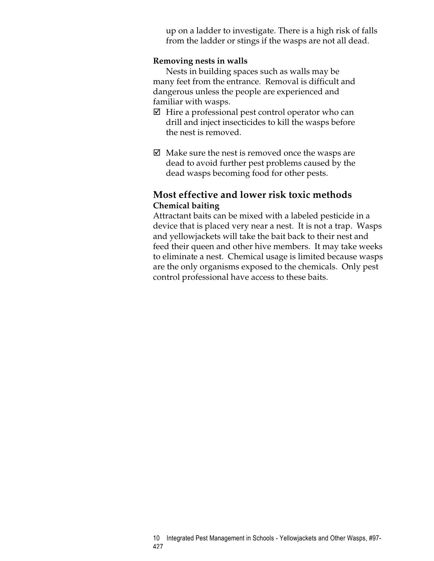up on a ladder to investigate. There is a high risk of falls from the ladder or stings if the wasps are not all dead.

#### **Removing nests in walls**

Nests in building spaces such as walls may be many feet from the entrance. Removal is difficult and dangerous unless the people are experienced and familiar with wasps.

- $\boxtimes$  Hire a professional pest control operator who can drill and inject insecticides to kill the wasps before the nest is removed.
- $\boxtimes$  Make sure the nest is removed once the wasps are dead to avoid further pest problems caused by the dead wasps becoming food for other pests.

#### **Most effective and lower risk toxic methods Chemical baiting**

Attractant baits can be mixed with a labeled pesticide in a device that is placed very near a nest. It is not a trap. Wasps and yellowjackets will take the bait back to their nest and feed their queen and other hive members. It may take weeks to eliminate a nest. Chemical usage is limited because wasps are the only organisms exposed to the chemicals. Only pest control professional have access to these baits.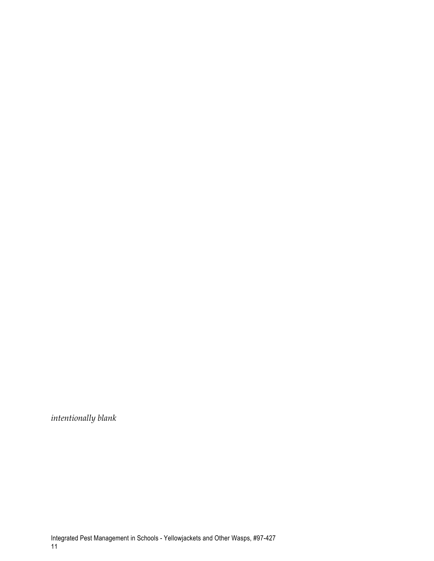*intentionally blank*